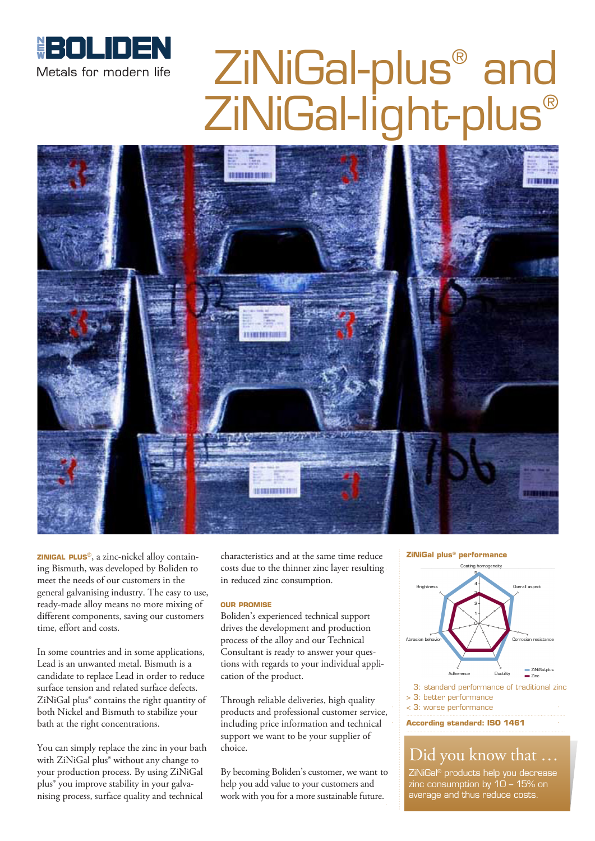

# ZiNiGal-plus ® and ZiNiGal-light-plus®



**zinigal plus**®, a zinc-nickel alloy containing Bismuth, was developed by Boliden to meet the needs of our customers in the general galvanising industry. The easy to use, ready-made alloy means no more mixing of different components, saving our customers time, effort and costs.

In some countries and in some applications, Lead is an unwanted metal. Bismuth is a candidate to replace Lead in order to reduce surface tension and related surface defects. ZiNiGal plus® contains the right quantity of both Nickel and Bismuth to stabilize your bath at the right concentrations.

You can simply replace the zinc in your bath with ZiNiGal plus® without any change to your production process. By using ZiNiGal plus® you improve stability in your galvanising process, surface quality and technical

characteristics and at the same time reduce costs due to the thinner zinc layer resulting in reduced zinc consumption.

#### **our promise**

Boliden's experienced technical support drives the development and production process of the alloy and our Technical Consultant is ready to answer your questions with regards to your individual application of the product.

Through reliable deliveries, high quality products and professional customer service, including price information and technical support we want to be your supplier of choice.

By becoming Boliden's customer, we want to help you add value to your customers and work with you for a more sustainable future.





- > 3: better performance
- < 3: worse performance

**According standard: ISO 1461**

#### Did you know that …

ZiNiGal® products help you decrease zinc consumption by 10 – 15% on average and thus reduce costs.